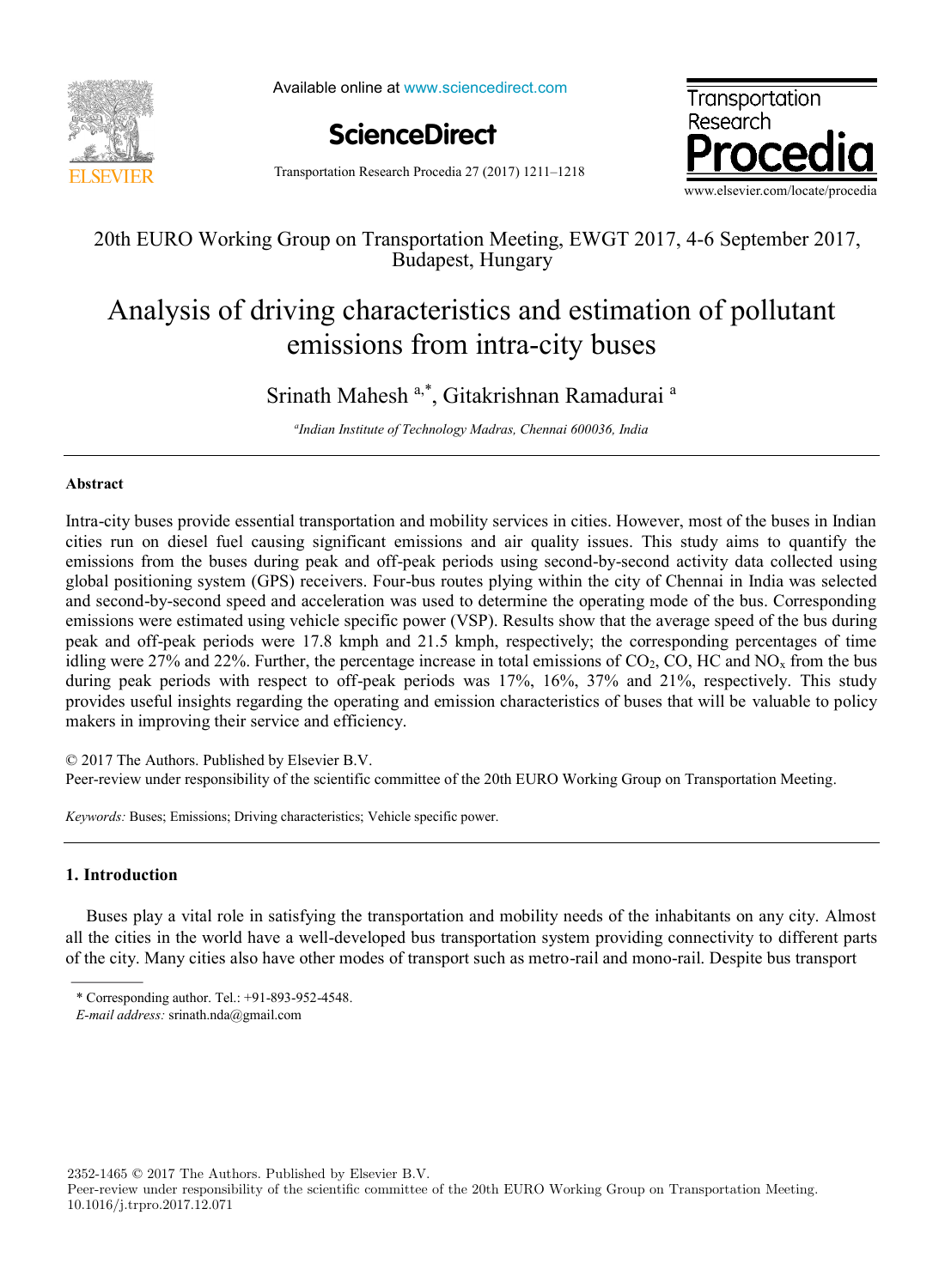

Available online at www.sciencedirect.com

**ScienceDirect**



Transportation Research Procedia 27 (2017) 1211–1218

# 20th EURO Working Group on Transportation Meeting, EWGT 2017, 4-6 September 2017, Budapest, Hungary

# Analysis of driving characteristics and estimation of pollutant emissions from intra-city buses

# Srinath Mahesh<sup>a,\*</sup>, Gitakrishnan Ramadurai<sup>a</sup>

*a Indian Institute of Technology Madras, Chennai 600036, India*

# **Abstract**

Intra-city buses provide essential transportation and mobility services in cities. However, most of the buses in Indian cities run on diesel fuel causing significant emissions and air quality issues. This study aims to quantify the emissions from the buses during peak and off-peak periods using second-by-second activity data collected using global positioning system (GPS) receivers. Four-bus routes plying within the city of Chennai in India was selected and second-by-second speed and acceleration was used to determine the operating mode of the bus. Corresponding emissions were estimated using vehicle specific power (VSP). Results show that the average speed of the bus during peak and off-peak periods were 17.8 kmph and 21.5 kmph, respectively; the corresponding percentages of time idling were 27% and 22%. Further, the percentage increase in total emissions of  $CO<sub>2</sub>$ , CO, HC and NO<sub>x</sub> from the bus during peak periods with respect to off-peak periods was 17%, 16%, 37% and 21%, respectively. This study provides useful insights regarding the operating and emission characteristics of buses that will be valuable to policy makers in improving their service and efficiency.

© 2017 The Authors. Published by Elsevier B.V.

Peer-review under responsibility of the scientific committee of the 20th EURO Working Group on Transportation Meeting.

*Keywords:* Buses; Emissions; Driving characteristics; Vehicle specific power.

# **1. Introduction**

Buses play a vital role in satisfying the transportation and mobility needs of the inhabitants on any city. Almost all the cities in the world have a well-developed bus transportation system providing connectivity to different parts of the city. Many cities also have other modes of transport such as metro-rail and mono-rail. Despite bus transport

2352-1465 © 2017 The Authors. Published by Elsevier B.V.

Peer-review under responsibility of the scientific committee of the 20th EURO Working Group on Transportation Meeting. 10.1016/j.trpro.2017.12.071

<sup>\*</sup> Corresponding author. Tel.: +91-893-952-4548.

*E-mail address:* srinath.nda@gmail.com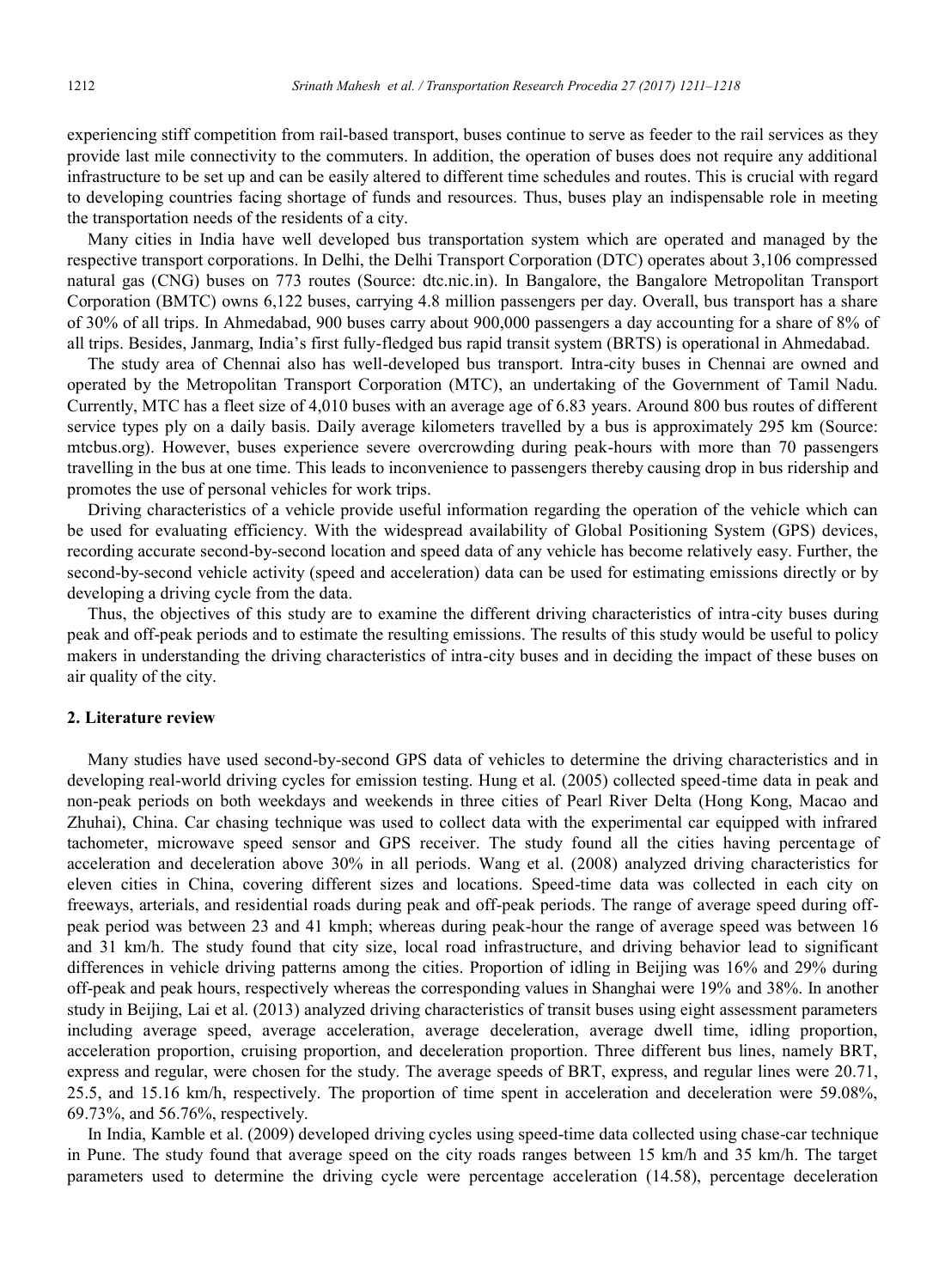experiencing stiff competition from rail-based transport, buses continue to serve as feeder to the rail services as they provide last mile connectivity to the commuters. In addition, the operation of buses does not require any additional infrastructure to be set up and can be easily altered to different time schedules and routes. This is crucial with regard to developing countries facing shortage of funds and resources. Thus, buses play an indispensable role in meeting the transportation needs of the residents of a city.

Many cities in India have well developed bus transportation system which are operated and managed by the respective transport corporations. In Delhi, the Delhi Transport Corporation (DTC) operates about 3,106 compressed natural gas (CNG) buses on 773 routes (Source: dtc.nic.in). In Bangalore, the Bangalore Metropolitan Transport Corporation (BMTC) owns 6,122 buses, carrying 4.8 million passengers per day. Overall, bus transport has a share of 30% of all trips. In Ahmedabad, 900 buses carry about 900,000 passengers a day accounting for a share of 8% of all trips. Besides, Janmarg, India's first fully-fledged bus rapid transit system (BRTS) is operational in Ahmedabad.

The study area of Chennai also has well-developed bus transport. Intra-city buses in Chennai are owned and operated by the Metropolitan Transport Corporation (MTC), an undertaking of the Government of Tamil Nadu. Currently, MTC has a fleet size of 4,010 buses with an average age of 6.83 years. Around 800 bus routes of different service types ply on a daily basis. Daily average kilometers travelled by a bus is approximately 295 km (Source: mtcbus.org). However, buses experience severe overcrowding during peak-hours with more than 70 passengers travelling in the bus at one time. This leads to inconvenience to passengers thereby causing drop in bus ridership and promotes the use of personal vehicles for work trips.

Driving characteristics of a vehicle provide useful information regarding the operation of the vehicle which can be used for evaluating efficiency. With the widespread availability of Global Positioning System (GPS) devices, recording accurate second-by-second location and speed data of any vehicle has become relatively easy. Further, the second-by-second vehicle activity (speed and acceleration) data can be used for estimating emissions directly or by developing a driving cycle from the data.

Thus, the objectives of this study are to examine the different driving characteristics of intra-city buses during peak and off-peak periods and to estimate the resulting emissions. The results of this study would be useful to policy makers in understanding the driving characteristics of intra-city buses and in deciding the impact of these buses on air quality of the city.

#### **2. Literature review**

Many studies have used second-by-second GPS data of vehicles to determine the driving characteristics and in developing real-world driving cycles for emission testing. Hung et al. (2005) collected speed-time data in peak and non-peak periods on both weekdays and weekends in three cities of Pearl River Delta (Hong Kong, Macao and Zhuhai), China. Car chasing technique was used to collect data with the experimental car equipped with infrared tachometer, microwave speed sensor and GPS receiver. The study found all the cities having percentage of acceleration and deceleration above 30% in all periods. Wang et al. (2008) analyzed driving characteristics for eleven cities in China, covering different sizes and locations. Speed-time data was collected in each city on freeways, arterials, and residential roads during peak and off-peak periods. The range of average speed during offpeak period was between 23 and 41 kmph; whereas during peak-hour the range of average speed was between 16 and 31 km/h. The study found that city size, local road infrastructure, and driving behavior lead to significant differences in vehicle driving patterns among the cities. Proportion of idling in Beijing was 16% and 29% during off-peak and peak hours, respectively whereas the corresponding values in Shanghai were 19% and 38%. In another study in Beijing, Lai et al. (2013) analyzed driving characteristics of transit buses using eight assessment parameters including average speed, average acceleration, average deceleration, average dwell time, idling proportion, acceleration proportion, cruising proportion, and deceleration proportion. Three different bus lines, namely BRT, express and regular, were chosen for the study. The average speeds of BRT, express, and regular lines were 20.71, 25.5, and 15.16 km/h, respectively. The proportion of time spent in acceleration and deceleration were 59.08%, 69.73%, and 56.76%, respectively.

In India, Kamble et al. (2009) developed driving cycles using speed-time data collected using chase-car technique in Pune. The study found that average speed on the city roads ranges between 15 km/h and 35 km/h. The target parameters used to determine the driving cycle were percentage acceleration (14.58), percentage deceleration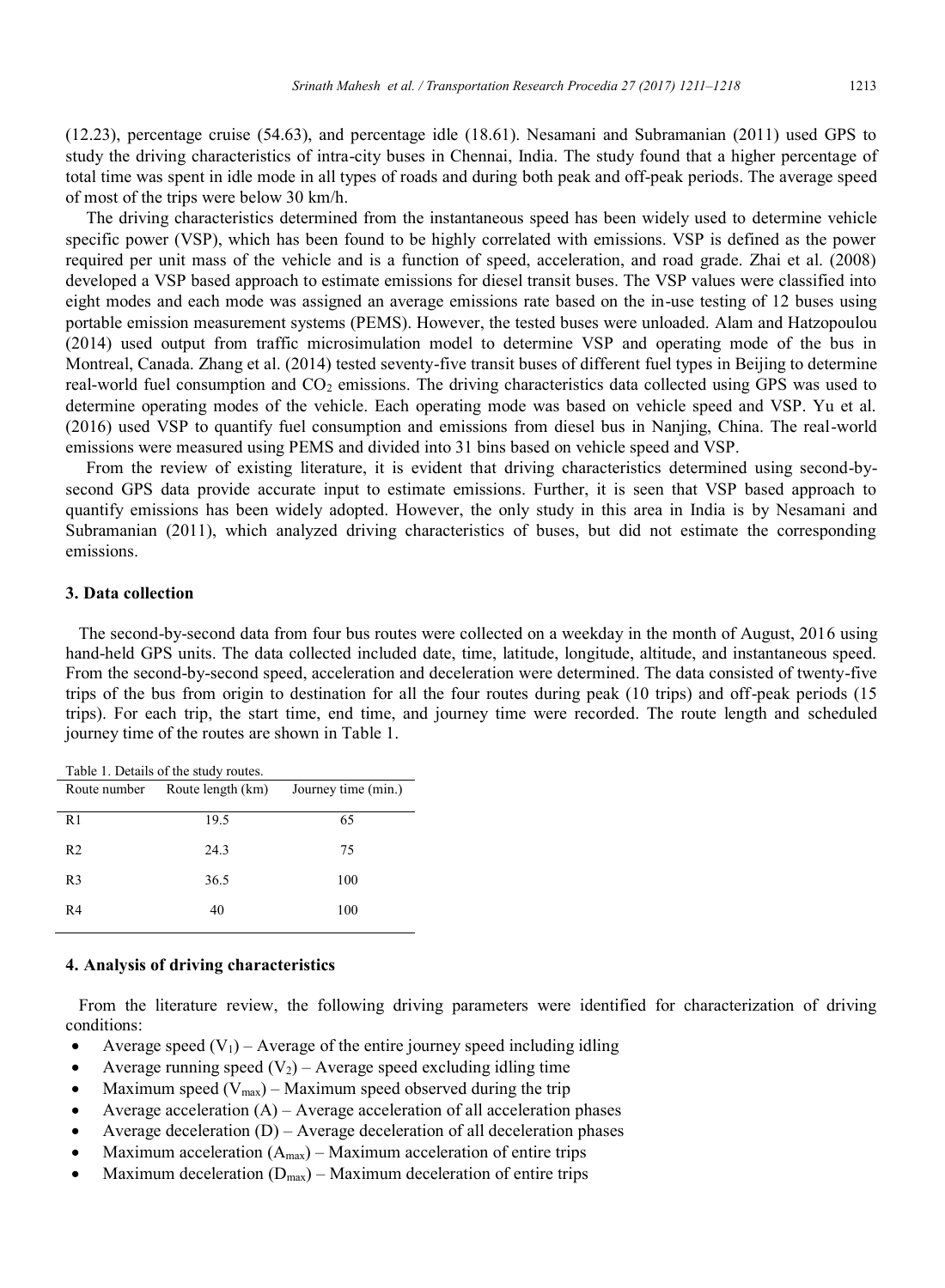(12.23), percentage cruise (54.63), and percentage idle (18.61). Nesamani and Subramanian (2011) used GPS to study the driving characteristics of intra-city buses in Chennai, India. The study found that a higher percentage of total time was spent in idle mode in all types of roads and during both peak and off-peak periods. The average speed of most of the trips were below 30 km/h.

The driving characteristics determined from the instantaneous speed has been widely used to determine vehicle specific power (VSP), which has been found to be highly correlated with emissions. VSP is defined as the power required per unit mass of the vehicle and is a function of speed, acceleration, and road grade. Zhai et al. (2008) developed a VSP based approach to estimate emissions for diesel transit buses. The VSP values were classified into eight modes and each mode was assigned an average emissions rate based on the in-use testing of 12 buses using portable emission measurement systems (PEMS). However, the tested buses were unloaded. Alam and Hatzopoulou (2014) used output from traffic microsimulation model to determine VSP and operating mode of the bus in Montreal, Canada. Zhang et al. (2014) tested seventy-five transit buses of different fuel types in Beijing to determine real-world fuel consumption and  $CO<sub>2</sub>$  emissions. The driving characteristics data collected using GPS was used to determine operating modes of the vehicle. Each operating mode was based on vehicle speed and VSP. Yu et al. (2016) used VSP to quantify fuel consumption and emissions from diesel bus in Nanjing, China. The real-world emissions were measured using PEMS and divided into 31 bins based on vehicle speed and VSP.

From the review of existing literature, it is evident that driving characteristics determined using second-bysecond GPS data provide accurate input to estimate emissions. Further, it is seen that VSP based approach to quantify emissions has been widely adopted. However, the only study in this area in India is by Nesamani and Subramanian (2011), which analyzed driving characteristics of buses, but did not estimate the corresponding emissions.

# **3. Data collection**

 The second-by-second data from four bus routes were collected on a weekday in the month of August, 2016 using hand-held GPS units. The data collected included date, time, latitude, longitude, altitude, and instantaneous speed. From the second-by-second speed, acceleration and deceleration were determined. The data consisted of twenty-five trips of the bus from origin to destination for all the four routes during peak (10 trips) and off-peak periods (15 trips). For each trip, the start time, end time, and journey time were recorded. The route length and scheduled journey time of the routes are shown in Table 1.

| Table 1. Details of the study routes. |                   |                     |  |  |  |  |  |  |
|---------------------------------------|-------------------|---------------------|--|--|--|--|--|--|
| Route number                          | Route length (km) | Journey time (min.) |  |  |  |  |  |  |
| R1                                    | 19.5              | 65                  |  |  |  |  |  |  |
|                                       |                   |                     |  |  |  |  |  |  |
| R <sub>2</sub>                        | 24.3              | 75                  |  |  |  |  |  |  |
| R <sub>3</sub>                        | 36.5              | 100                 |  |  |  |  |  |  |
| R <sub>4</sub>                        | 40                | 100                 |  |  |  |  |  |  |
|                                       |                   |                     |  |  |  |  |  |  |

#### **4. Analysis of driving characteristics**

 From the literature review, the following driving parameters were identified for characterization of driving conditions:

- Average speed  $(V_1)$  Average of the entire journey speed including idling
- Average running speed  $(V_2)$  Average speed excluding idling time
- Maximum speed  $(V_{max})$  Maximum speed observed during the trip
- Average acceleration  $(A)$  Average acceleration of all acceleration phases
- Average deceleration  $(D)$  Average deceleration of all deceleration phases
- Maximum acceleration (Amax) Maximum acceleration of entire trips
- Maximum deceleration  $(D_{\text{max}})$  Maximum deceleration of entire trips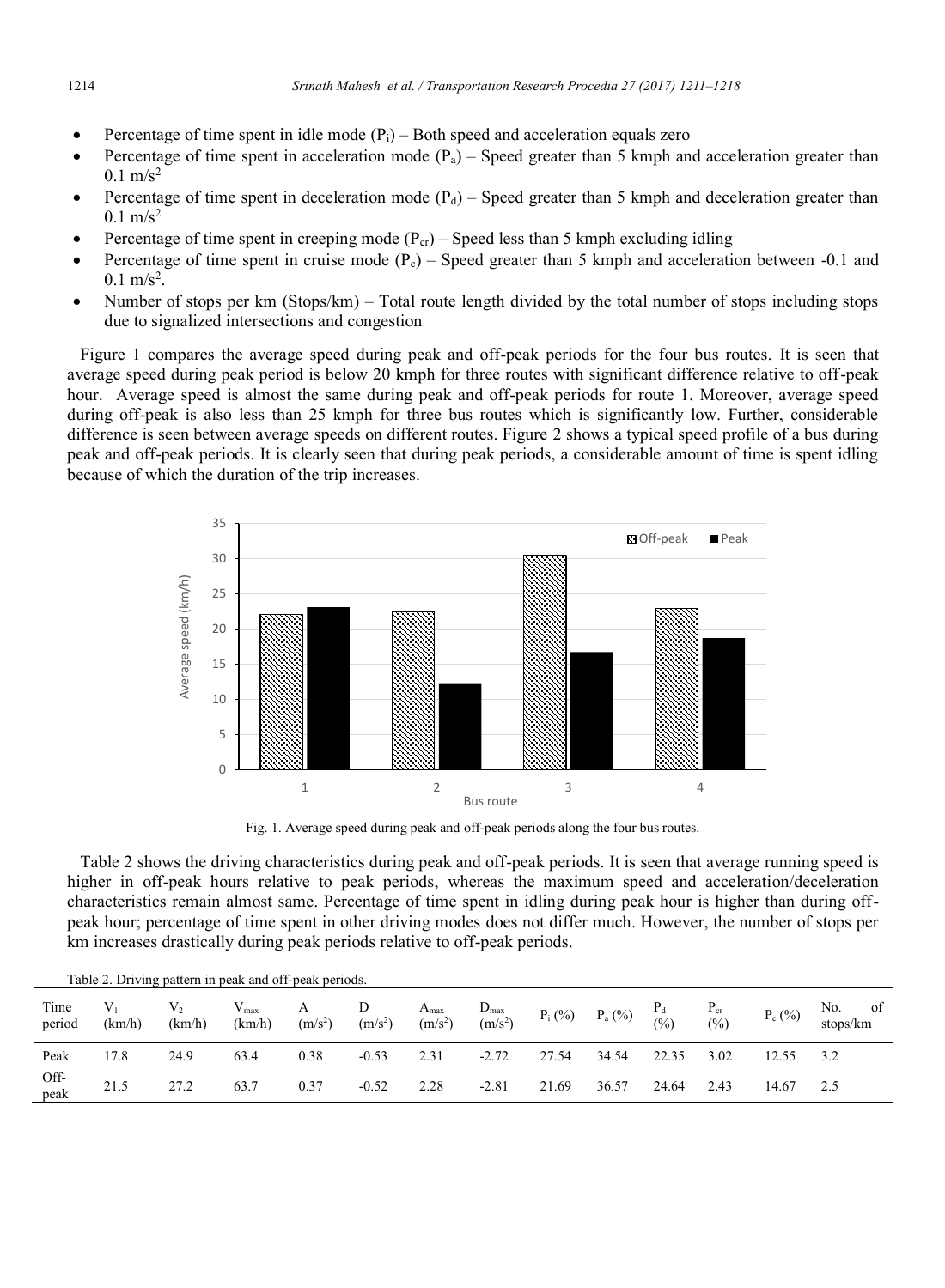- Percentage of time spent in idle mode  $(P_i)$  Both speed and acceleration equals zero
- Percentage of time spent in acceleration mode  $(P_a)$  Speed greater than 5 kmph and acceleration greater than  $0.1 \text{ m/s}^2$
- Percentage of time spent in deceleration mode  $(P_d)$  Speed greater than 5 kmph and deceleration greater than  $0.1 \text{ m/s}^2$
- Percentage of time spent in creeping mode  $(P_{cr})$  Speed less than 5 kmph excluding idling
- Percentage of time spent in cruise mode  $(P_c)$  Speed greater than 5 kmph and acceleration between -0.1 and  $0.1 \text{ m/s}^2$ .
- Number of stops per km (Stops/km) Total route length divided by the total number of stops including stops due to signalized intersections and congestion

 Figure 1 compares the average speed during peak and off-peak periods for the four bus routes. It is seen that average speed during peak period is below 20 kmph for three routes with significant difference relative to off-peak hour. Average speed is almost the same during peak and off-peak periods for route 1. Moreover, average speed during off-peak is also less than 25 kmph for three bus routes which is significantly low. Further, considerable difference is seen between average speeds on different routes. Figure 2 shows a typical speed profile of a bus during peak and off-peak periods. It is clearly seen that during peak periods, a considerable amount of time is spent idling because of which the duration of the trip increases.



Fig. 1. Average speed during peak and off-peak periods along the four bus routes.

 Table 2 shows the driving characteristics during peak and off-peak periods. It is seen that average running speed is higher in off-peak hours relative to peak periods, whereas the maximum speed and acceleration/deceleration characteristics remain almost same. Percentage of time spent in idling during peak hour is higher than during offpeak hour; percentage of time spent in other driving modes does not differ much. However, the number of stops per km increases drastically during peak periods relative to off-peak periods.

| Table 2. Driving pattern in peak and off-peak periods. |                 |                          |                            |                |                |                               |                               |           |             |              |                           |                |                       |
|--------------------------------------------------------|-----------------|--------------------------|----------------------------|----------------|----------------|-------------------------------|-------------------------------|-----------|-------------|--------------|---------------------------|----------------|-----------------------|
| Time<br>period                                         | $V_1$<br>(km/h) | $\mathrm{V}_2$<br>(km/h) | $V_{\text{max}}$<br>(km/h) | А<br>$(m/s^2)$ | D<br>$(m/s^2)$ | $A_{\text{max}}$<br>$(m/s^2)$ | $D_{\text{max}}$<br>$(m/s^2)$ | $P_i$ (%) | $P_{a}$ (%) | $P_d$<br>(%) | $P_{cr}$<br>$\frac{6}{2}$ | $P_c(^{0}/_0)$ | No.<br>οt<br>stops/km |
| Peak                                                   | 17.8            | 24.9                     | 63.4                       | 0.38           | $-0.53$        | 2.31                          | $-2.72$                       | 27.54     | 34.54       | 22.35        | 3.02                      | 12.55          |                       |
| Off-<br>peak                                           | 21.5            | 27.2                     | 63.7                       | 0.37           | $-0.52$        | 2.28                          | $-2.81$                       | 21.69     | 36.57       | 24.64        | 2.43                      | 14.67          |                       |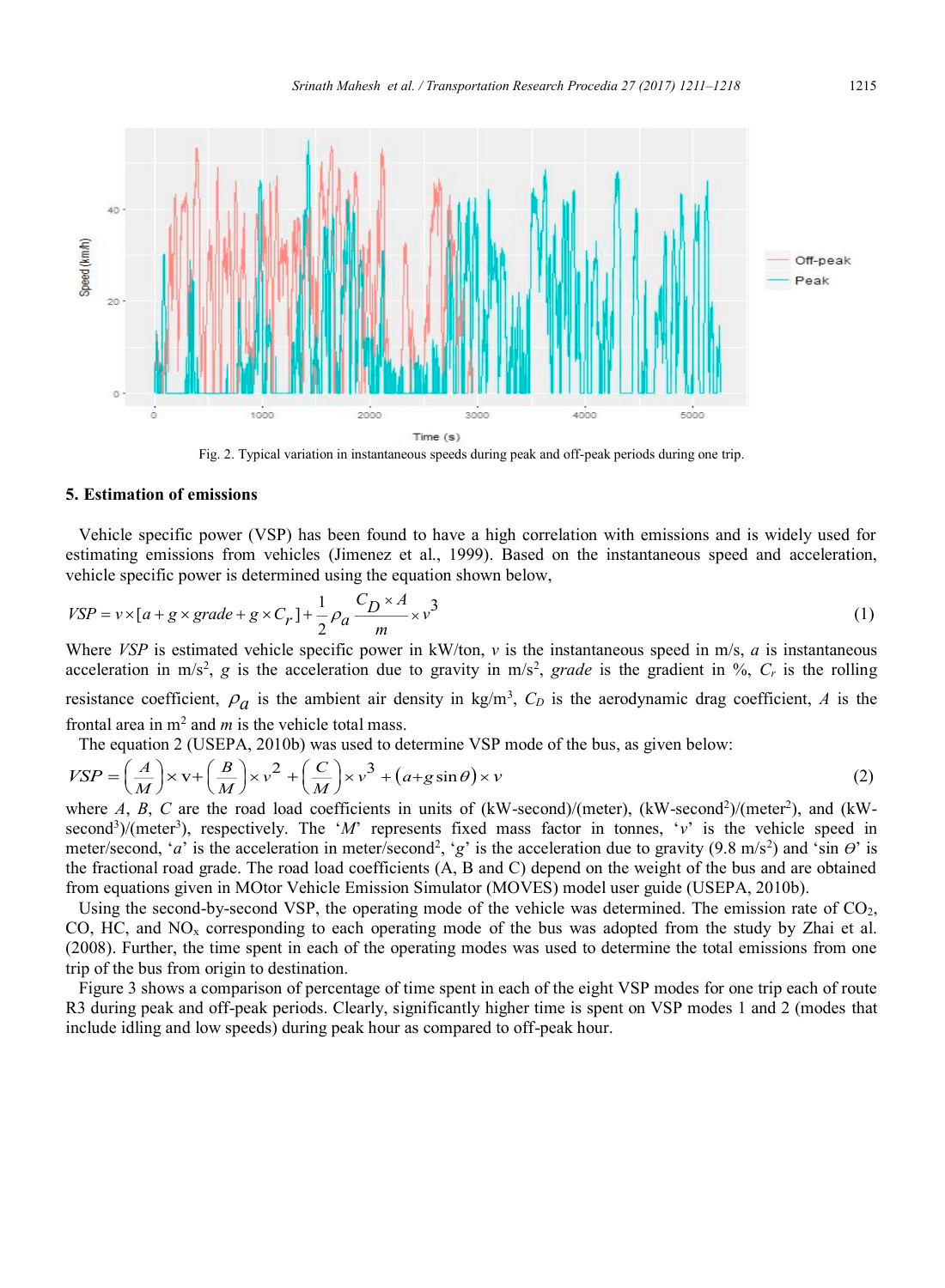

Fig. 2. Typical variation in instantaneous speeds during peak and off-peak periods during one trip.

## **5. Estimation of emissions**

 Vehicle specific power (VSP) has been found to have a high correlation with emissions and is widely used for estimating emissions from vehicles (Jimenez et al., 1999). Based on the instantaneous speed and acceleration, vehicle specific power is determined using the equation shown below,

$$
VSP = v \times [a + g \times grade + g \times C_r] + \frac{1}{2} \rho_a \frac{C_D \times A}{m} \times v^3
$$
\n(1)

Where *VSP* is estimated vehicle specific power in  $kW/ton$ , *v* is the instantaneous speed in m/s, *a* is instantaneous acceleration in m/s<sup>2</sup>, g is the acceleration due to gravity in m/s<sup>2</sup>, grade is the gradient in %,  $C_r$  is the rolling resistance coefficient,  $\rho_a$  is the ambient air density in kg/m<sup>3</sup>,  $C_D$  is the aerodynamic drag coefficient, A is the frontal area in  $m^2$  and  $m$  is the vehicle total mass.

The equation 2 (USEPA, 2010b) was used to determine VSP mode of the bus, as given below:

$$
VSP = \left(\frac{A}{M}\right) \times \mathbf{v} + \left(\frac{B}{M}\right) \times \mathbf{v}^2 + \left(\frac{C}{M}\right) \times \mathbf{v}^3 + (a + g\sin\theta) \times \mathbf{v}
$$
\n<sup>(2)</sup>

where  $A$ ,  $B$ ,  $C$  are the road load coefficients in units of (kW-second)/(meter), (kW-second<sup>2</sup>)/(meter<sup>2</sup>), and (kWsecond<sup>3</sup>)/(meter<sup>3</sup>), respectively. The '*M*' represents fixed mass factor in tonnes, 'v' is the vehicle speed in meter/second, '*a*' is the acceleration in meter/second<sup>2</sup>, 'g' is the acceleration due to gravity (9.8 m/s<sup>2</sup>) and 'sin  $\theta$ ' is the fractional road grade. The road load coefficients (A, B and C) depend on the weight of the bus and are obtained from equations given in MOtor Vehicle Emission Simulator (MOVES) model user guide (USEPA, 2010b).

Using the second-by-second VSP, the operating mode of the vehicle was determined. The emission rate of CO<sub>2</sub>, CO, HC, and  $NO<sub>x</sub>$  corresponding to each operating mode of the bus was adopted from the study by Zhai et al. (2008). Further, the time spent in each of the operating modes was used to determine the total emissions from one trip of the bus from origin to destination.

 Figure 3 shows a comparison of percentage of time spent in each of the eight VSP modes for one trip each of route R3 during peak and off-peak periods. Clearly, significantly higher time is spent on VSP modes 1 and 2 (modes that include idling and low speeds) during peak hour as compared to off-peak hour.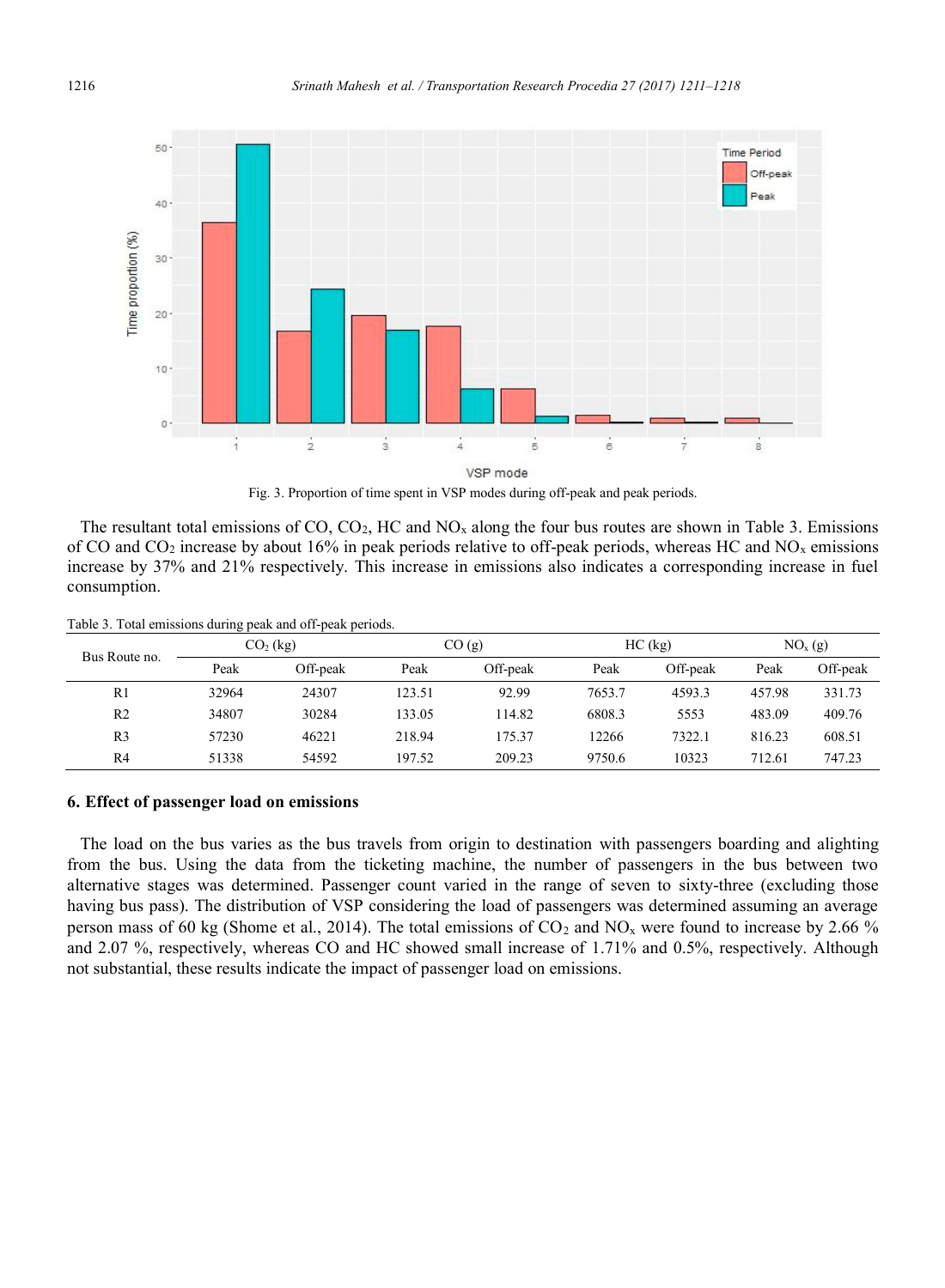

Fig. 3. Proportion of time spent in VSP modes during off-peak and peak periods.

The resultant total emissions of CO,  $CO<sub>2</sub>$ , HC and NO<sub>x</sub> along the four bus routes are shown in Table 3. Emissions of CO and  $CO_2$  increase by about 16% in peak periods relative to off-peak periods, whereas HC and NO<sub>x</sub> emissions increase by 37% and 21% respectively. This increase in emissions also indicates a corresponding increase in fuel consumption.

|  | Table 3. Total emissions during peak and off-peak periods. |  |  |
|--|------------------------------------------------------------|--|--|
|  |                                                            |  |  |

| Bus Route no.  |       | $CO2$ (kg) |        | CO(g)    |        | $HC$ (kg) | NO <sub>x</sub> (g) |          |
|----------------|-------|------------|--------|----------|--------|-----------|---------------------|----------|
|                | Peak  | Off-peak   | Peak   | Off-peak | Peak   | Off-peak  | Peak                | Off-peak |
| R1             | 32964 | 24307      | 123.51 | 92.99    | 7653.7 | 4593.3    | 457.98              | 331.73   |
| R <sub>2</sub> | 34807 | 30284      | 133.05 | 114.82   | 6808.3 | 5553      | 483.09              | 409.76   |
| R <sub>3</sub> | 57230 | 46221      | 218.94 | 175.37   | 12266  | 7322.1    | 816.23              | 608.51   |
| R4             | 51338 | 54592      | 197.52 | 209.23   | 9750.6 | 10323     | 712.61              | 747.23   |

## **6. Effect of passenger load on emissions**

 The load on the bus varies as the bus travels from origin to destination with passengers boarding and alighting from the bus. Using the data from the ticketing machine, the number of passengers in the bus between two alternative stages was determined. Passenger count varied in the range of seven to sixty-three (excluding those having bus pass). The distribution of VSP considering the load of passengers was determined assuming an average person mass of 60 kg (Shome et al., 2014). The total emissions of  $CO_2$  and  $NO_x$  were found to increase by 2.66 % and 2.07 %, respectively, whereas CO and HC showed small increase of 1.71% and 0.5%, respectively. Although not substantial, these results indicate the impact of passenger load on emissions.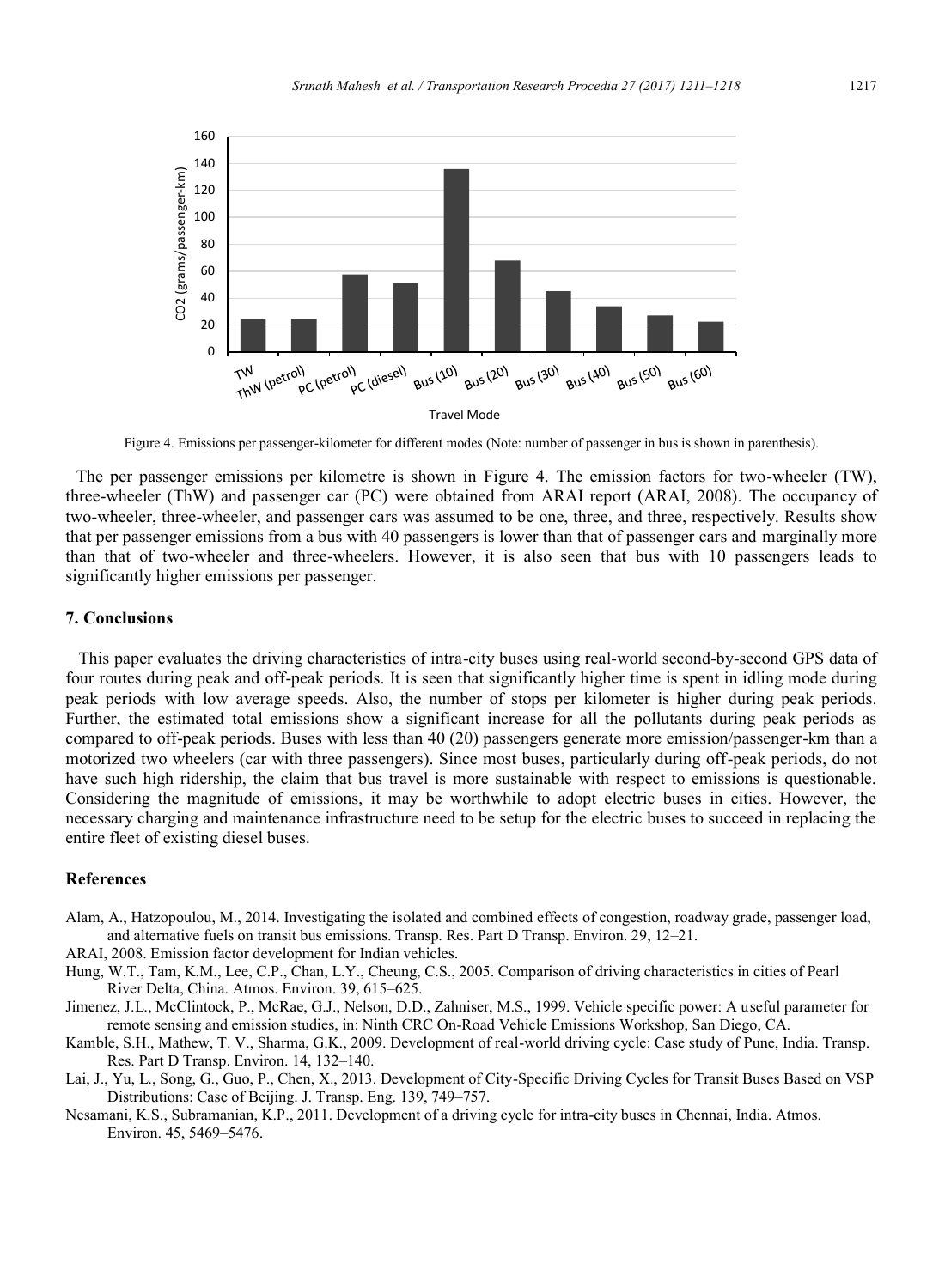

Figure 4. Emissions per passenger-kilometer for different modes (Note: number of passenger in bus is shown in parenthesis).

 The per passenger emissions per kilometre is shown in Figure 4. The emission factors for two-wheeler (TW), three-wheeler (ThW) and passenger car (PC) were obtained from ARAI report (ARAI, 2008). The occupancy of two-wheeler, three-wheeler, and passenger cars was assumed to be one, three, and three, respectively. Results show that per passenger emissions from a bus with 40 passengers is lower than that of passenger cars and marginally more than that of two-wheeler and three-wheelers. However, it is also seen that bus with 10 passengers leads to significantly higher emissions per passenger.

#### **7. Conclusions**

 This paper evaluates the driving characteristics of intra-city buses using real-world second-by-second GPS data of four routes during peak and off-peak periods. It is seen that significantly higher time is spent in idling mode during peak periods with low average speeds. Also, the number of stops per kilometer is higher during peak periods. Further, the estimated total emissions show a significant increase for all the pollutants during peak periods as compared to off-peak periods. Buses with less than 40 (20) passengers generate more emission/passenger-km than a motorized two wheelers (car with three passengers). Since most buses, particularly during off-peak periods, do not have such high ridership, the claim that bus travel is more sustainable with respect to emissions is questionable. Considering the magnitude of emissions, it may be worthwhile to adopt electric buses in cities. However, the necessary charging and maintenance infrastructure need to be setup for the electric buses to succeed in replacing the entire fleet of existing diesel buses.

## **References**

Alam, A., Hatzopoulou, M., 2014. Investigating the isolated and combined effects of congestion, roadway grade, passenger load, and alternative fuels on transit bus emissions. Transp. Res. Part D Transp. Environ. 29, 12–21.

ARAI, 2008. Emission factor development for Indian vehicles.

- Hung, W.T., Tam, K.M., Lee, C.P., Chan, L.Y., Cheung, C.S., 2005. Comparison of driving characteristics in cities of Pearl River Delta, China. Atmos. Environ. 39, 615–625.
- Jimenez, J.L., McClintock, P., McRae, G.J., Nelson, D.D., Zahniser, M.S., 1999. Vehicle specific power: A useful parameter for remote sensing and emission studies, in: Ninth CRC On-Road Vehicle Emissions Workshop, San Diego, CA.
- Kamble, S.H., Mathew, T. V., Sharma, G.K., 2009. Development of real-world driving cycle: Case study of Pune, India. Transp. Res. Part D Transp. Environ. 14, 132–140.
- Lai, J., Yu, L., Song, G., Guo, P., Chen, X., 2013. Development of City-Specific Driving Cycles for Transit Buses Based on VSP Distributions: Case of Beijing. J. Transp. Eng. 139, 749–757.
- Nesamani, K.S., Subramanian, K.P., 2011. Development of a driving cycle for intra-city buses in Chennai, India. Atmos. Environ. 45, 5469–5476.